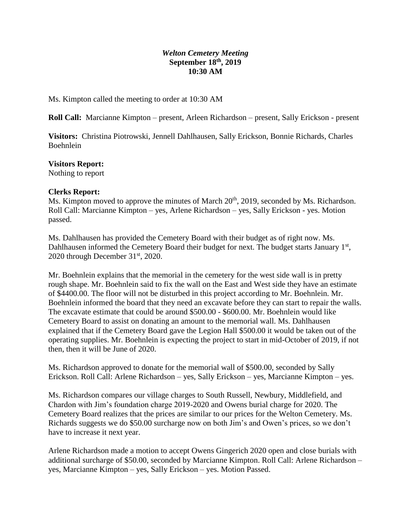# *Welton Cemetery Meeting* **September 18th, 2019 10:30 AM**

Ms. Kimpton called the meeting to order at 10:30 AM

**Roll Call:** Marcianne Kimpton – present, Arleen Richardson – present, Sally Erickson - present

**Visitors:** Christina Piotrowski, Jennell Dahlhausen, Sally Erickson, Bonnie Richards, Charles Boehnlein

#### **Visitors Report:**

Nothing to report

#### **Clerks Report:**

Ms. Kimpton moved to approve the minutes of March 20<sup>th</sup>, 2019, seconded by Ms. Richardson. Roll Call: Marcianne Kimpton – yes, Arlene Richardson – yes, Sally Erickson - yes. Motion passed.

Ms. Dahlhausen has provided the Cemetery Board with their budget as of right now. Ms. Dahlhausen informed the Cemetery Board their budget for next. The budget starts January 1<sup>st</sup>, 2020 through December  $31<sup>st</sup>$ , 2020.

Mr. Boehnlein explains that the memorial in the cemetery for the west side wall is in pretty rough shape. Mr. Boehnlein said to fix the wall on the East and West side they have an estimate of \$4400.00. The floor will not be disturbed in this project according to Mr. Boehnlein. Mr. Boehnlein informed the board that they need an excavate before they can start to repair the walls. The excavate estimate that could be around \$500.00 - \$600.00. Mr. Boehnlein would like Cemetery Board to assist on donating an amount to the memorial wall. Ms. Dahlhausen explained that if the Cemetery Board gave the Legion Hall \$500.00 it would be taken out of the operating supplies. Mr. Boehnlein is expecting the project to start in mid-October of 2019, if not then, then it will be June of 2020.

Ms. Richardson approved to donate for the memorial wall of \$500.00, seconded by Sally Erickson. Roll Call: Arlene Richardson – yes, Sally Erickson – yes, Marcianne Kimpton – yes.

Ms. Richardson compares our village charges to South Russell, Newbury, Middlefield, and Chardon with Jim's foundation charge 2019-2020 and Owens burial charge for 2020. The Cemetery Board realizes that the prices are similar to our prices for the Welton Cemetery. Ms. Richards suggests we do \$50.00 surcharge now on both Jim's and Owen's prices, so we don't have to increase it next year.

Arlene Richardson made a motion to accept Owens Gingerich 2020 open and close burials with additional surcharge of \$50.00, seconded by Marcianne Kimpton. Roll Call: Arlene Richardson – yes, Marcianne Kimpton – yes, Sally Erickson – yes. Motion Passed.